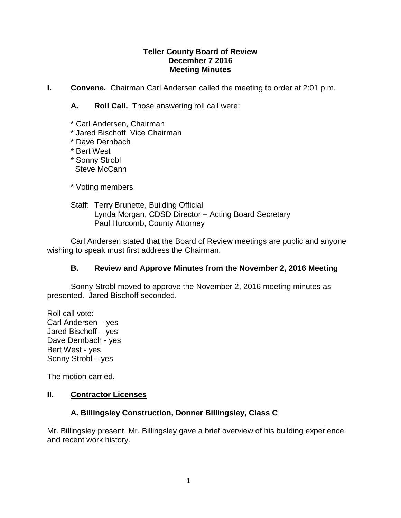## **Teller County Board of Review December 7 2016 Meeting Minutes**

**I.** Convene. Chairman Carl Andersen called the meeting to order at 2:01 p.m.

**A. Roll Call.** Those answering roll call were:

- \* Carl Andersen, Chairman
- \* Jared Bischoff, Vice Chairman
- \* Dave Dernbach
- \* Bert West
- \* Sonny Strobl Steve McCann
- \* Voting members
- Staff: Terry Brunette, Building Official Lynda Morgan, CDSD Director – Acting Board Secretary Paul Hurcomb, County Attorney

Carl Andersen stated that the Board of Review meetings are public and anyone wishing to speak must first address the Chairman.

# **B. Review and Approve Minutes from the November 2, 2016 Meeting**

Sonny Strobl moved to approve the November 2, 2016 meeting minutes as presented. Jared Bischoff seconded.

Roll call vote: Carl Andersen – yes Jared Bischoff – yes Dave Dernbach - yes Bert West - yes Sonny Strobl – yes

The motion carried.

## **II. Contractor Licenses**

# **A. Billingsley Construction, Donner Billingsley, Class C**

Mr. Billingsley present. Mr. Billingsley gave a brief overview of his building experience and recent work history.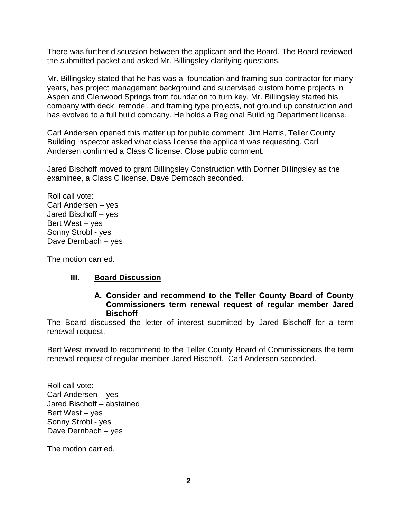There was further discussion between the applicant and the Board. The Board reviewed the submitted packet and asked Mr. Billingsley clarifying questions.

Mr. Billingsley stated that he has was a foundation and framing sub-contractor for many years, has project management background and supervised custom home projects in Aspen and Glenwood Springs from foundation to turn key. Mr. Billingsley started his company with deck, remodel, and framing type projects, not ground up construction and has evolved to a full build company. He holds a Regional Building Department license.

Carl Andersen opened this matter up for public comment. Jim Harris, Teller County Building inspector asked what class license the applicant was requesting. Carl Andersen confirmed a Class C license. Close public comment.

Jared Bischoff moved to grant Billingsley Construction with Donner Billingsley as the examinee, a Class C license. Dave Dernbach seconded.

Roll call vote: Carl Andersen – yes Jared Bischoff – yes Bert West – yes Sonny Strobl - yes Dave Dernbach – yes

The motion carried.

## **III. Board Discussion**

#### **A. Consider and recommend to the Teller County Board of County Commissioners term renewal request of regular member Jared Bischoff**

The Board discussed the letter of interest submitted by Jared Bischoff for a term renewal request.

Bert West moved to recommend to the Teller County Board of Commissioners the term renewal request of regular member Jared Bischoff. Carl Andersen seconded.

Roll call vote: Carl Andersen – yes Jared Bischoff – abstained Bert West – yes Sonny Strobl - yes Dave Dernbach – yes

The motion carried.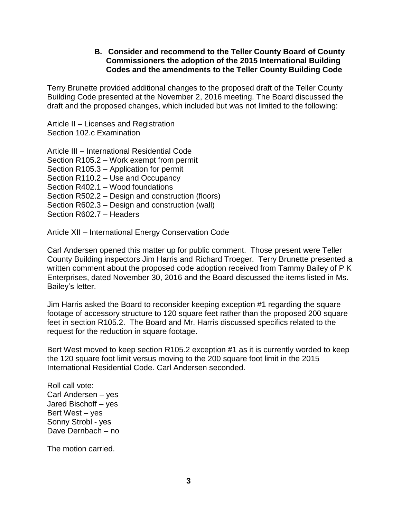## **B. Consider and recommend to the Teller County Board of County Commissioners the adoption of the 2015 International Building Codes and the amendments to the Teller County Building Code**

Terry Brunette provided additional changes to the proposed draft of the Teller County Building Code presented at the November 2, 2016 meeting. The Board discussed the draft and the proposed changes, which included but was not limited to the following:

Article II – Licenses and Registration Section 102.c Examination

Article III – International Residential Code Section R105.2 – Work exempt from permit Section R105.3 – Application for permit Section R110.2 – Use and Occupancy Section R402.1 – Wood foundations Section R502.2 – Design and construction (floors) Section R602.3 – Design and construction (wall) Section R602.7 – Headers

Article XII – International Energy Conservation Code

Carl Andersen opened this matter up for public comment. Those present were Teller County Building inspectors Jim Harris and Richard Troeger. Terry Brunette presented a written comment about the proposed code adoption received from Tammy Bailey of P K Enterprises, dated November 30, 2016 and the Board discussed the items listed in Ms. Bailey's letter.

Jim Harris asked the Board to reconsider keeping exception #1 regarding the square footage of accessory structure to 120 square feet rather than the proposed 200 square feet in section R105.2. The Board and Mr. Harris discussed specifics related to the request for the reduction in square footage.

Bert West moved to keep section R105.2 exception #1 as it is currently worded to keep the 120 square foot limit versus moving to the 200 square foot limit in the 2015 International Residential Code. Carl Andersen seconded.

Roll call vote: Carl Andersen – yes Jared Bischoff – yes Bert West – yes Sonny Strobl - yes Dave Dernbach – no

The motion carried.